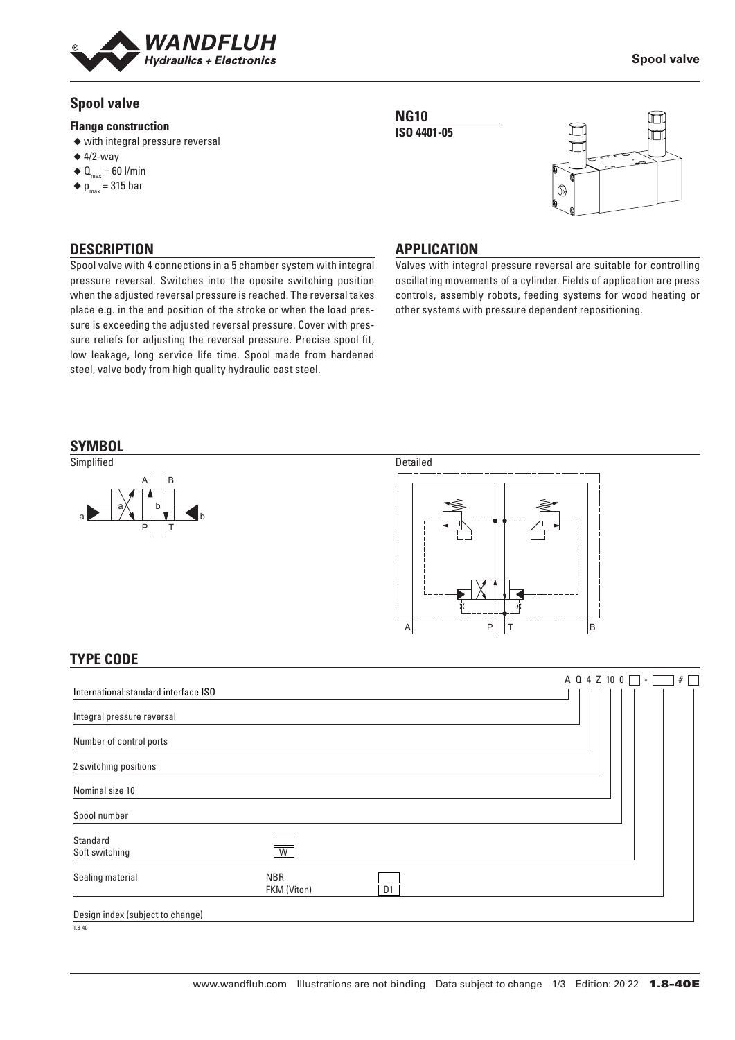

## **Spool valve**

#### **Flange construction**

- ◆ with integral pressure reversal
- $\triangleq$  4/2-way
- $\triangleleft \mathbf{Q}_{\text{max}} = 60$  l/min
- $\blacklozenge$  p<sub>max</sub> = 315 bar

## **DESCRIPTION**

Spool valve with 4 connections in a 5 chamber system with integral pressure reversal. Switches into the oposite switching position when the adjusted reversal pressure is reached. The reversal takes place e.g. in the end position of the stroke or when the load pressure is exceeding the adjusted reversal pressure. Cover with pressure reliefs for adjusting the reversal pressure. Precise spool fit, low leakage, long service life time. Spool made from hardened steel, valve body from high quality hydraulic cast steel.





### **APPLICATION**

**NG10**

Valves with integral pressure reversal are suitable for controlling oscillating movements of a cylinder. Fields of application are press controls, assembly robots, feeding systems for wood heating or other systems with pressure dependent repositioning.



FKM (Viton) D1

Soft switching W

Sealing material NBR

Nominal size 10 Spool number

Standard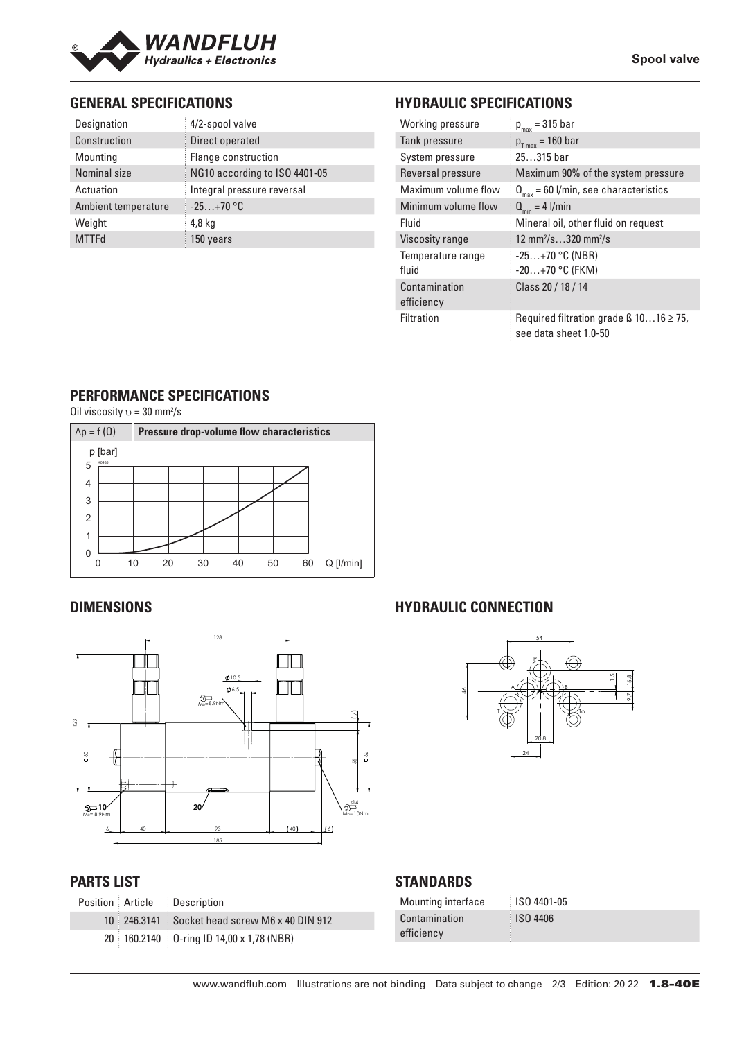

## **GENERAL SPECIFICATIONS**

| Designation         | 4/2-spool valve               |
|---------------------|-------------------------------|
| Construction        | Direct operated               |
| Mounting            | Flange construction           |
| Nominal size        | NG10 according to ISO 4401-05 |
| Actuation           | Integral pressure reversal    |
| Ambient temperature | $-25+70$ °C                   |
| Weight              | $4,8$ kg                      |
| <b>MTTFd</b>        | 150 years                     |

# **HYDRAULIC SPECIFICATIONS**

| Working pressure    | $p_{max}$ = 315 bar                                                        |
|---------------------|----------------------------------------------------------------------------|
| Tank pressure       | $p_{T_{max}}$ = 160 bar                                                    |
| System pressure     | $25315$ bar                                                                |
| Reversal pressure   | Maximum 90% of the system pressure                                         |
| Maximum volume flow | $Q_{\text{max}} = 60$ l/min, see characteristics                           |
| Minimum volume flow | $Q_{\min} = 4$ l/min                                                       |
| Fluid               | Mineral oil, other fluid on request                                        |
| Viscosity range     | 12 mm <sup>2</sup> /s320 mm <sup>2</sup> /s                                |
| Temperature range   | $-25+70$ °C (NBR)                                                          |
| fluid               | $-20+70$ °C (FKM)                                                          |
| Contamination       | Class 20 / 18 / 14                                                         |
| efficiency          |                                                                            |
| Filtration          | Required filtration grade $\beta$ 1016 $\geq$ 75,<br>see data sheet 1.0-50 |

## **PERFORMANCE SPECIFICATIONS**

Oil viscosity  $v = 30$  mm<sup>2</sup>/s



## **DIMENSIONS**



## **PARTS LIST**

|  | Position Article Description                           |
|--|--------------------------------------------------------|
|  | $10\pm 246.3141\pm 5$ ocket head screw M6 x 40 DIN 912 |
|  | 20 160.2140 0-ring ID 14,00 x 1,78 (NBR)               |

# **HYDRAULIC CONNECTION**



## **STANDARDS**

| <b>Mounting interface</b> | <b>ISO 4401-05</b> |
|---------------------------|--------------------|
| Contamination             | <b>ISO 4406</b>    |
| efficiency                |                    |